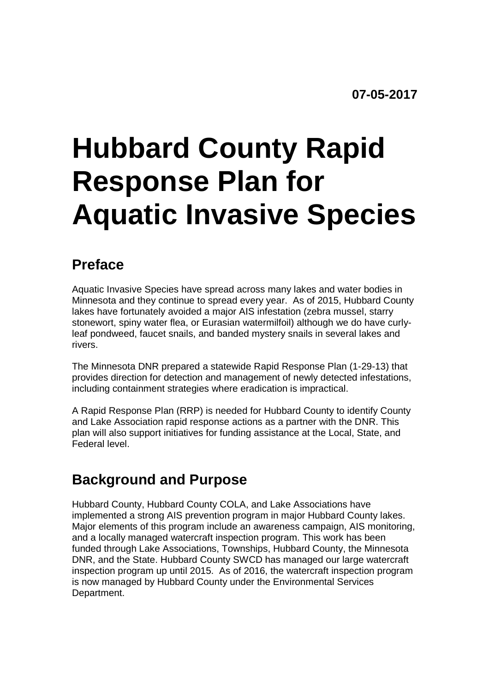# **Hubbard County Rapid Response Plan for Aquatic Invasive Species**

#### **Preface**

Aquatic Invasive Species have spread across many lakes and water bodies in Minnesota and they continue to spread every year. As of 2015, Hubbard County lakes have fortunately avoided a major AIS infestation (zebra mussel, starry stonewort, spiny water flea, or Eurasian watermilfoil) although we do have curlyleaf pondweed, faucet snails, and banded mystery snails in several lakes and rivers.

The Minnesota DNR prepared a statewide Rapid Response Plan (1-29-13) that provides direction for detection and management of newly detected infestations, including containment strategies where eradication is impractical.

A Rapid Response Plan (RRP) is needed for Hubbard County to identify County and Lake Association rapid response actions as a partner with the DNR. This plan will also support initiatives for funding assistance at the Local, State, and Federal level.

#### **Background and Purpose**

Hubbard County, Hubbard County COLA, and Lake Associations have implemented a strong AIS prevention program in major Hubbard County lakes. Major elements of this program include an awareness campaign, AIS monitoring, and a locally managed watercraft inspection program. This work has been funded through Lake Associations, Townships, Hubbard County, the Minnesota DNR, and the State. Hubbard County SWCD has managed our large watercraft inspection program up until 2015. As of 2016, the watercraft inspection program is now managed by Hubbard County under the Environmental Services Department.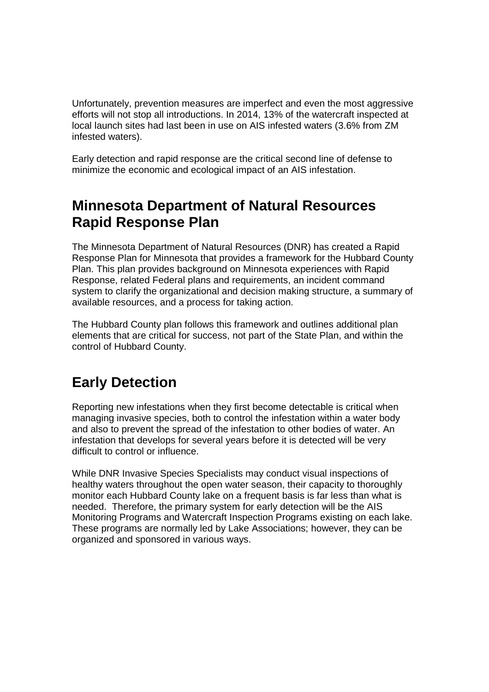Unfortunately, prevention measures are imperfect and even the most aggressive efforts will not stop all introductions. In 2014, 13% of the watercraft inspected at local launch sites had last been in use on AIS infested waters (3.6% from ZM infested waters).

Early detection and rapid response are the critical second line of defense to minimize the economic and ecological impact of an AIS infestation.

#### **Minnesota Department of Natural Resources Rapid Response Plan**

The Minnesota Department of Natural Resources (DNR) has created a Rapid Response Plan for Minnesota that provides a framework for the Hubbard County Plan. This plan provides background on Minnesota experiences with Rapid Response, related Federal plans and requirements, an incident command system to clarify the organizational and decision making structure, a summary of available resources, and a process for taking action.

The Hubbard County plan follows this framework and outlines additional plan elements that are critical for success, not part of the State Plan, and within the control of Hubbard County.

#### **Early Detection**

Reporting new infestations when they first become detectable is critical when managing invasive species, both to control the infestation within a water body and also to prevent the spread of the infestation to other bodies of water. An infestation that develops for several years before it is detected will be very difficult to control or influence.

While DNR Invasive Species Specialists may conduct visual inspections of healthy waters throughout the open water season, their capacity to thoroughly monitor each Hubbard County lake on a frequent basis is far less than what is needed. Therefore, the primary system for early detection will be the AIS Monitoring Programs and Watercraft Inspection Programs existing on each lake. These programs are normally led by Lake Associations; however, they can be organized and sponsored in various ways.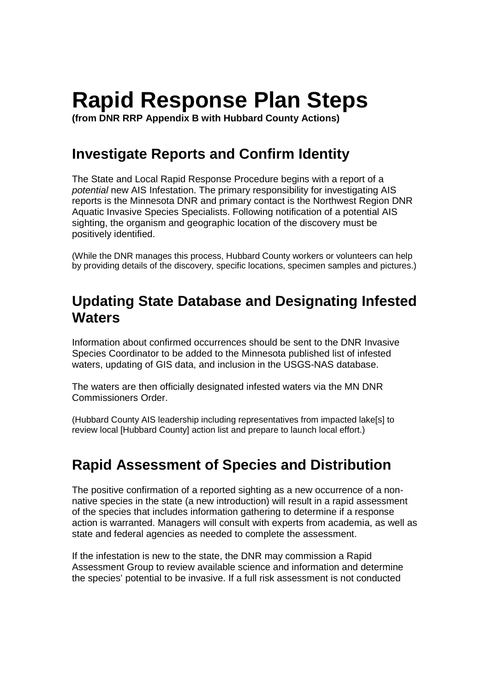# **Rapid Response Plan Steps**

**(from DNR RRP Appendix B with Hubbard County Actions)** 

#### **Investigate Reports and Confirm Identity**

The State and Local Rapid Response Procedure begins with a report of a potential new AIS Infestation. The primary responsibility for investigating AIS reports is the Minnesota DNR and primary contact is the Northwest Region DNR Aquatic Invasive Species Specialists. Following notification of a potential AIS sighting, the organism and geographic location of the discovery must be positively identified.

(While the DNR manages this process, Hubbard County workers or volunteers can help by providing details of the discovery, specific locations, specimen samples and pictures.)

#### **Updating State Database and Designating Infested Waters**

Information about confirmed occurrences should be sent to the DNR Invasive Species Coordinator to be added to the Minnesota published list of infested waters, updating of GIS data, and inclusion in the USGS-NAS database.

The waters are then officially designated infested waters via the MN DNR Commissioners Order.

(Hubbard County AIS leadership including representatives from impacted lake[s] to review local [Hubbard County] action list and prepare to launch local effort.)

#### **Rapid Assessment of Species and Distribution**

The positive confirmation of a reported sighting as a new occurrence of a nonnative species in the state (a new introduction) will result in a rapid assessment of the species that includes information gathering to determine if a response action is warranted. Managers will consult with experts from academia, as well as state and federal agencies as needed to complete the assessment.

If the infestation is new to the state, the DNR may commission a Rapid Assessment Group to review available science and information and determine the species' potential to be invasive. If a full risk assessment is not conducted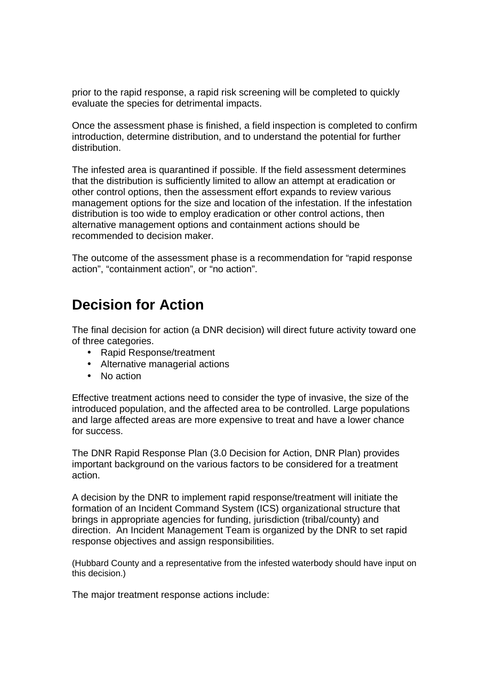prior to the rapid response, a rapid risk screening will be completed to quickly evaluate the species for detrimental impacts.

Once the assessment phase is finished, a field inspection is completed to confirm introduction, determine distribution, and to understand the potential for further distribution.

The infested area is quarantined if possible. If the field assessment determines that the distribution is sufficiently limited to allow an attempt at eradication or other control options, then the assessment effort expands to review various management options for the size and location of the infestation. If the infestation distribution is too wide to employ eradication or other control actions, then alternative management options and containment actions should be recommended to decision maker.

The outcome of the assessment phase is a recommendation for "rapid response action", "containment action", or "no action".

#### **Decision for Action**

The final decision for action (a DNR decision) will direct future activity toward one of three categories.

- Rapid Response/treatment
- Alternative managerial actions
- No action

Effective treatment actions need to consider the type of invasive, the size of the introduced population, and the affected area to be controlled. Large populations and large affected areas are more expensive to treat and have a lower chance for success.

The DNR Rapid Response Plan (3.0 Decision for Action, DNR Plan) provides important background on the various factors to be considered for a treatment action.

A decision by the DNR to implement rapid response/treatment will initiate the formation of an Incident Command System (ICS) organizational structure that brings in appropriate agencies for funding, jurisdiction (tribal/county) and direction. An Incident Management Team is organized by the DNR to set rapid response objectives and assign responsibilities.

(Hubbard County and a representative from the infested waterbody should have input on this decision.)

The major treatment response actions include: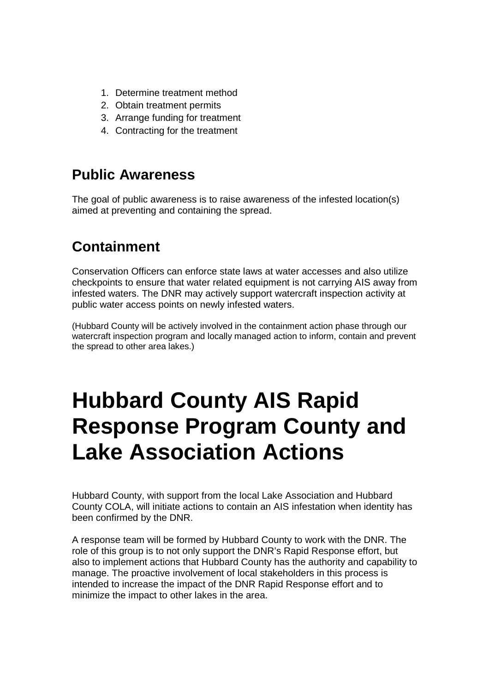- 1. Determine treatment method
- 2. Obtain treatment permits
- 3. Arrange funding for treatment
- 4. Contracting for the treatment

#### **Public Awareness**

The goal of public awareness is to raise awareness of the infested location(s) aimed at preventing and containing the spread.

#### **Containment**

Conservation Officers can enforce state laws at water accesses and also utilize checkpoints to ensure that water related equipment is not carrying AIS away from infested waters. The DNR may actively support watercraft inspection activity at public water access points on newly infested waters.

(Hubbard County will be actively involved in the containment action phase through our watercraft inspection program and locally managed action to inform, contain and prevent the spread to other area lakes.)

### **Hubbard County AIS Rapid Response Program County and Lake Association Actions**

Hubbard County, with support from the local Lake Association and Hubbard County COLA, will initiate actions to contain an AIS infestation when identity has been confirmed by the DNR.

A response team will be formed by Hubbard County to work with the DNR. The role of this group is to not only support the DNR's Rapid Response effort, but also to implement actions that Hubbard County has the authority and capability to manage. The proactive involvement of local stakeholders in this process is intended to increase the impact of the DNR Rapid Response effort and to minimize the impact to other lakes in the area.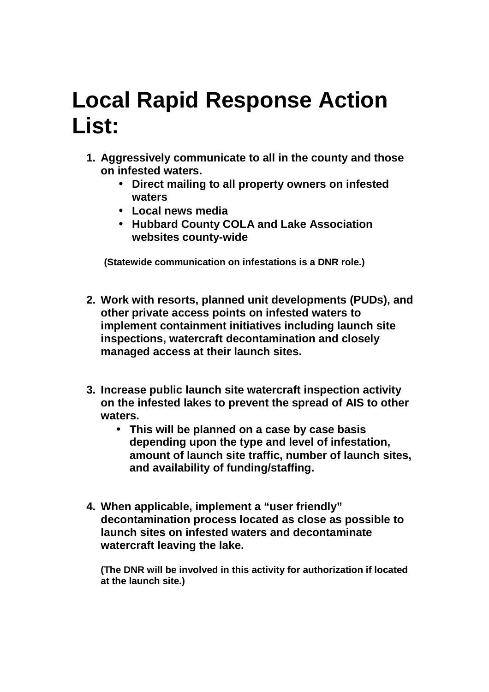## **Local Rapid Response Action List:**

- **1. Aggressively communicate to all in the county and those on infested waters.** 
	- **Direct mailing to all property owners on infested waters**
	- **Local news media**
	- **Hubbard County COLA and Lake Association websites county-wide**

 **(Statewide communication on infestations is a DNR role.)** 

- **2. Work with resorts, planned unit developments (PUDs), and other private access points on infested waters to implement containment initiatives including launch site inspections, watercraft decontamination and closely managed access at their launch sites.**
- **3. Increase public launch site watercraft inspection activity on the infested lakes to prevent the spread of AIS to other waters.** 
	- **This will be planned on a case by case basis depending upon the type and level of infestation, amount of launch site traffic, number of launch sites, and availability of funding/staffing.**
- **4. When applicable, implement a "user friendly" decontamination process located as close as possible to launch sites on infested waters and decontaminate watercraft leaving the lake.**

**(The DNR will be involved in this activity for authorization if located at the launch site.)**